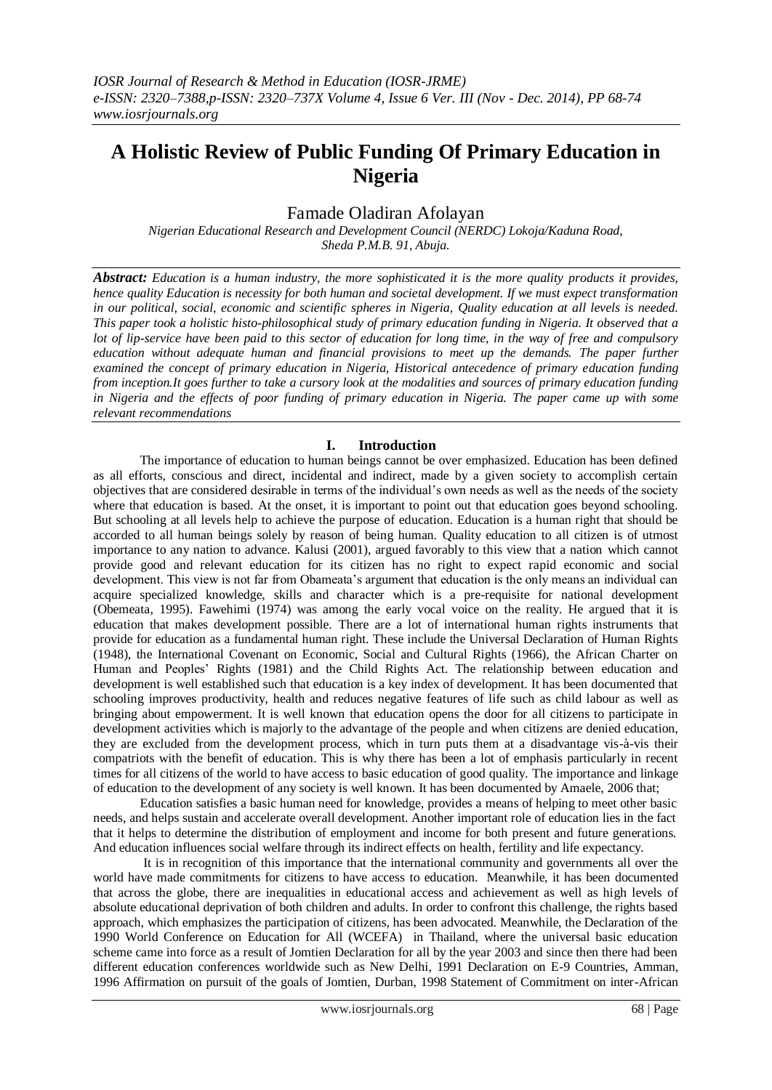# **A Holistic Review of Public Funding Of Primary Education in Nigeria**

# Famade Oladiran Afolayan

*Nigerian Educational Research and Development Council (NERDC) Lokoja/Kaduna Road, Sheda P.M.B. 91, Abuja.*

*Abstract: Education is a human industry, the more sophisticated it is the more quality products it provides, hence quality Education is necessity for both human and societal development. If we must expect transformation in our political, social, economic and scientific spheres in Nigeria, Quality education at all levels is needed. This paper took a holistic histo-philosophical study of primary education funding in Nigeria. It observed that a lot of lip-service have been paid to this sector of education for long time, in the way of free and compulsory education without adequate human and financial provisions to meet up the demands. The paper further examined the concept of primary education in Nigeria, Historical antecedence of primary education funding from inception.It goes further to take a cursory look at the modalities and sources of primary education funding in Nigeria and the effects of poor funding of primary education in Nigeria. The paper came up with some relevant recommendations*

# **I. Introduction**

The importance of education to human beings cannot be over emphasized. Education has been defined as all efforts, conscious and direct, incidental and indirect, made by a given society to accomplish certain objectives that are considered desirable in terms of the individual"s own needs as well as the needs of the society where that education is based. At the onset, it is important to point out that education goes beyond schooling. But schooling at all levels help to achieve the purpose of education. Education is a human right that should be accorded to all human beings solely by reason of being human. Quality education to all citizen is of utmost importance to any nation to advance. Kalusi (2001), argued favorably to this view that a nation which cannot provide good and relevant education for its citizen has no right to expect rapid economic and social development. This view is not far from Obameata's argument that education is the only means an individual can acquire specialized knowledge, skills and character which is a pre-requisite for national development (Obemeata, 1995). Fawehimi (1974) was among the early vocal voice on the reality. He argued that it is education that makes development possible. There are a lot of international human rights instruments that provide for education as a fundamental human right. These include the Universal Declaration of Human Rights (1948), the International Covenant on Economic, Social and Cultural Rights (1966), the African Charter on Human and Peoples' Rights (1981) and the Child Rights Act. The relationship between education and development is well established such that education is a key index of development. It has been documented that schooling improves productivity, health and reduces negative features of life such as child labour as well as bringing about empowerment. It is well known that education opens the door for all citizens to participate in development activities which is majorly to the advantage of the people and when citizens are denied education, they are excluded from the development process, which in turn puts them at a disadvantage vis-à-vis their compatriots with the benefit of education. This is why there has been a lot of emphasis particularly in recent times for all citizens of the world to have access to basic education of good quality. The importance and linkage of education to the development of any society is well known. It has been documented by Amaele, 2006 that;

Education satisfies a basic human need for knowledge, provides a means of helping to meet other basic needs, and helps sustain and accelerate overall development. Another important role of education lies in the fact that it helps to determine the distribution of employment and income for both present and future generations. And education influences social welfare through its indirect effects on health, fertility and life expectancy.

It is in recognition of this importance that the international community and governments all over the world have made commitments for citizens to have access to education. Meanwhile, it has been documented that across the globe, there are inequalities in educational access and achievement as well as high levels of absolute educational deprivation of both children and adults. In order to confront this challenge, the rights based approach, which emphasizes the participation of citizens, has been advocated. Meanwhile, the Declaration of the 1990 World Conference on Education for All (WCEFA) in Thailand, where the universal basic education scheme came into force as a result of Jomtien Declaration for all by the year 2003 and since then there had been different education conferences worldwide such as New Delhi, 1991 Declaration on E-9 Countries, Amman, 1996 Affirmation on pursuit of the goals of Jomtien, Durban, 1998 Statement of Commitment on inter-African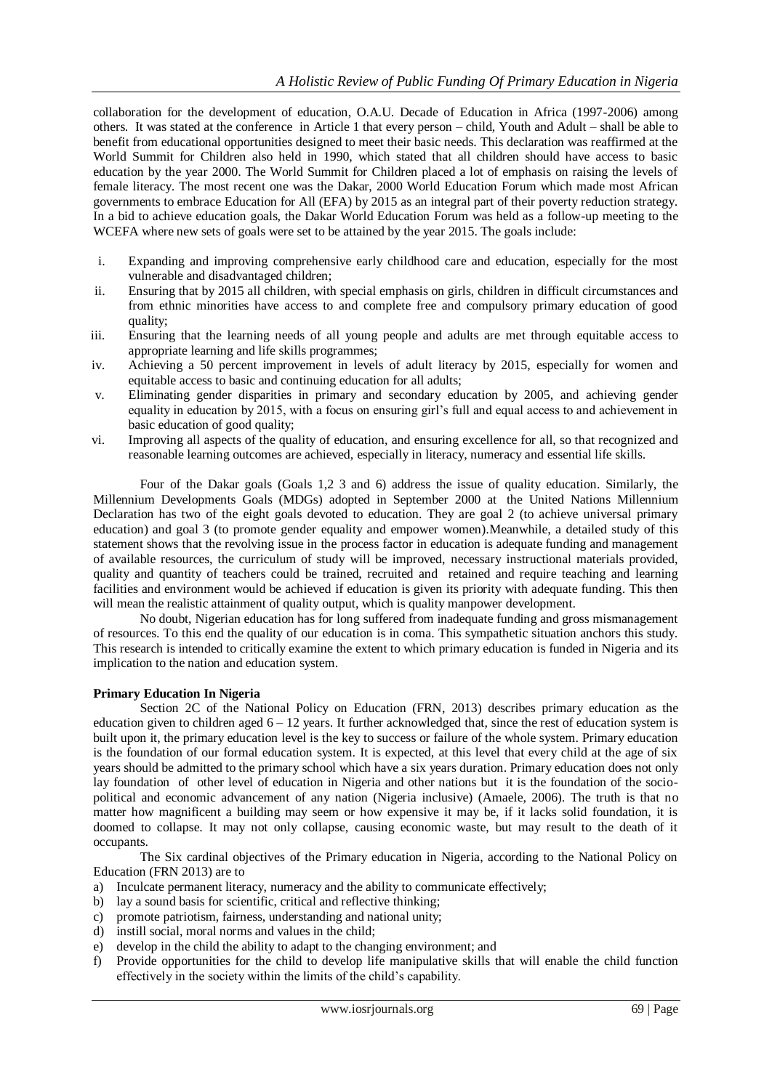collaboration for the development of education, O.A.U. Decade of Education in Africa (1997-2006) among others. It was stated at the conference in Article 1 that every person – child, Youth and Adult – shall be able to benefit from educational opportunities designed to meet their basic needs. This declaration was reaffirmed at the World Summit for Children also held in 1990, which stated that all children should have access to basic education by the year 2000. The World Summit for Children placed a lot of emphasis on raising the levels of female literacy. The most recent one was the Dakar, 2000 World Education Forum which made most African governments to embrace Education for All (EFA) by 2015 as an integral part of their poverty reduction strategy. In a bid to achieve education goals, the Dakar World Education Forum was held as a follow-up meeting to the WCEFA where new sets of goals were set to be attained by the year 2015. The goals include:

- i. Expanding and improving comprehensive early childhood care and education, especially for the most vulnerable and disadvantaged children;
- ii. Ensuring that by 2015 all children, with special emphasis on girls, children in difficult circumstances and from ethnic minorities have access to and complete free and compulsory primary education of good quality;
- iii. Ensuring that the learning needs of all young people and adults are met through equitable access to appropriate learning and life skills programmes;
- iv. Achieving a 50 percent improvement in levels of adult literacy by 2015, especially for women and equitable access to basic and continuing education for all adults;
- v. Eliminating gender disparities in primary and secondary education by 2005, and achieving gender equality in education by 2015, with a focus on ensuring girl"s full and equal access to and achievement in basic education of good quality;
- vi. Improving all aspects of the quality of education, and ensuring excellence for all, so that recognized and reasonable learning outcomes are achieved, especially in literacy, numeracy and essential life skills.

Four of the Dakar goals (Goals 1,2 3 and 6) address the issue of quality education. Similarly, the Millennium Developments Goals (MDGs) adopted in September 2000 at the United Nations Millennium Declaration has two of the eight goals devoted to education. They are goal 2 (to achieve universal primary education) and goal 3 (to promote gender equality and empower women).Meanwhile, a detailed study of this statement shows that the revolving issue in the process factor in education is adequate funding and management of available resources, the curriculum of study will be improved, necessary instructional materials provided, quality and quantity of teachers could be trained, recruited and retained and require teaching and learning facilities and environment would be achieved if education is given its priority with adequate funding. This then will mean the realistic attainment of quality output, which is quality manpower development.

No doubt, Nigerian education has for long suffered from inadequate funding and gross mismanagement of resources. To this end the quality of our education is in coma. This sympathetic situation anchors this study. This research is intended to critically examine the extent to which primary education is funded in Nigeria and its implication to the nation and education system.

# **Primary Education In Nigeria**

Section 2C of the National Policy on Education (FRN, 2013) describes primary education as the education given to children aged  $6 - 12$  years. It further acknowledged that, since the rest of education system is built upon it, the primary education level is the key to success or failure of the whole system. Primary education is the foundation of our formal education system. It is expected, at this level that every child at the age of six years should be admitted to the primary school which have a six years duration. Primary education does not only lay foundation of other level of education in Nigeria and other nations but it is the foundation of the sociopolitical and economic advancement of any nation (Nigeria inclusive) (Amaele, 2006). The truth is that no matter how magnificent a building may seem or how expensive it may be, if it lacks solid foundation, it is doomed to collapse. It may not only collapse, causing economic waste, but may result to the death of it occupants.

The Six cardinal objectives of the Primary education in Nigeria, according to the National Policy on Education (FRN 2013) are to

- a) Inculcate permanent literacy, numeracy and the ability to communicate effectively;
- b) lay a sound basis for scientific, critical and reflective thinking;
- c) promote patriotism, fairness, understanding and national unity;
- d) instill social, moral norms and values in the child;
- e) develop in the child the ability to adapt to the changing environment; and
- f) Provide opportunities for the child to develop life manipulative skills that will enable the child function effectively in the society within the limits of the child"s capability.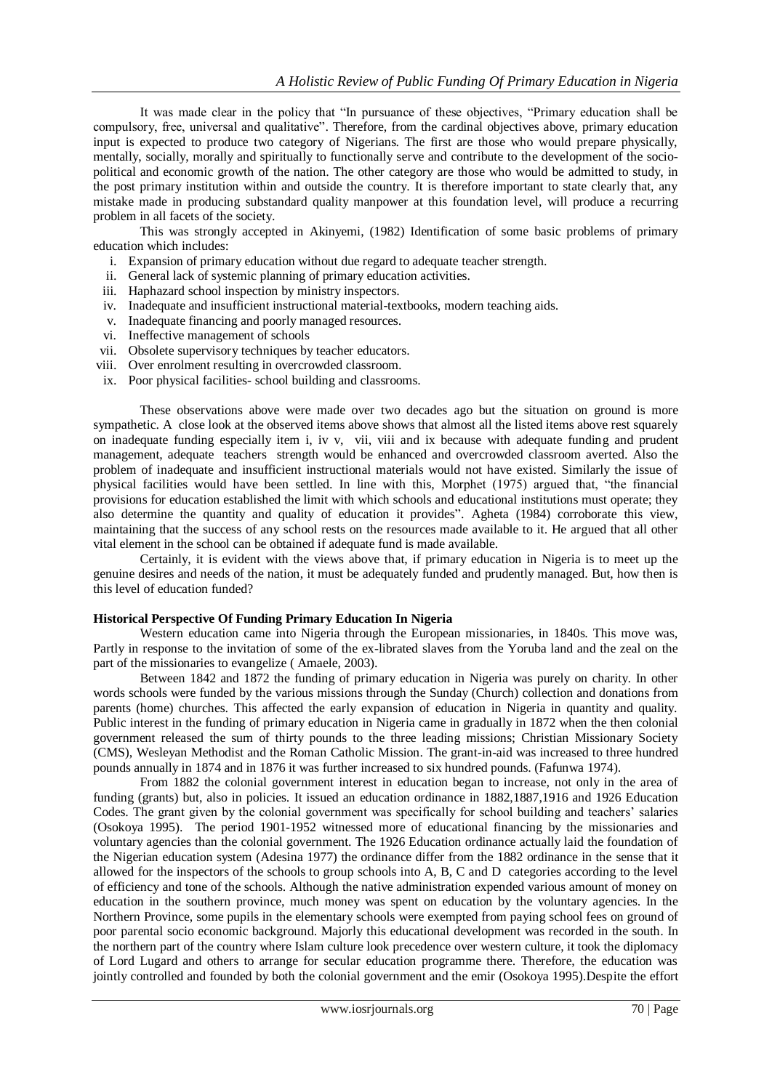It was made clear in the policy that "In pursuance of these objectives, "Primary education shall be compulsory, free, universal and qualitative". Therefore, from the cardinal objectives above, primary education input is expected to produce two category of Nigerians. The first are those who would prepare physically, mentally, socially, morally and spiritually to functionally serve and contribute to the development of the sociopolitical and economic growth of the nation. The other category are those who would be admitted to study, in the post primary institution within and outside the country. It is therefore important to state clearly that, any mistake made in producing substandard quality manpower at this foundation level, will produce a recurring problem in all facets of the society.

This was strongly accepted in Akinyemi, (1982) Identification of some basic problems of primary education which includes:

- i. Expansion of primary education without due regard to adequate teacher strength.
- ii. General lack of systemic planning of primary education activities.
- iii. Haphazard school inspection by ministry inspectors.
- iv. Inadequate and insufficient instructional material-textbooks, modern teaching aids.
- v. Inadequate financing and poorly managed resources.
- vi. Ineffective management of schools
- vii. Obsolete supervisory techniques by teacher educators.
- viii. Over enrolment resulting in overcrowded classroom.
- ix. Poor physical facilities- school building and classrooms.

These observations above were made over two decades ago but the situation on ground is more sympathetic. A close look at the observed items above shows that almost all the listed items above rest squarely on inadequate funding especially item i, iv v, vii, viii and ix because with adequate funding and prudent management, adequate teachers strength would be enhanced and overcrowded classroom averted. Also the problem of inadequate and insufficient instructional materials would not have existed. Similarly the issue of physical facilities would have been settled. In line with this, Morphet (1975) argued that, "the financial provisions for education established the limit with which schools and educational institutions must operate; they also determine the quantity and quality of education it provides". Agheta (1984) corroborate this view, maintaining that the success of any school rests on the resources made available to it. He argued that all other vital element in the school can be obtained if adequate fund is made available.

Certainly, it is evident with the views above that, if primary education in Nigeria is to meet up the genuine desires and needs of the nation, it must be adequately funded and prudently managed. But, how then is this level of education funded?

#### **Historical Perspective Of Funding Primary Education In Nigeria**

Western education came into Nigeria through the European missionaries, in 1840s. This move was, Partly in response to the invitation of some of the ex-librated slaves from the Yoruba land and the zeal on the part of the missionaries to evangelize ( Amaele, 2003).

Between 1842 and 1872 the funding of primary education in Nigeria was purely on charity. In other words schools were funded by the various missions through the Sunday (Church) collection and donations from parents (home) churches. This affected the early expansion of education in Nigeria in quantity and quality. Public interest in the funding of primary education in Nigeria came in gradually in 1872 when the then colonial government released the sum of thirty pounds to the three leading missions; Christian Missionary Society (CMS), Wesleyan Methodist and the Roman Catholic Mission. The grant-in-aid was increased to three hundred pounds annually in 1874 and in 1876 it was further increased to six hundred pounds. (Fafunwa 1974).

From 1882 the colonial government interest in education began to increase, not only in the area of funding (grants) but, also in policies. It issued an education ordinance in 1882,1887,1916 and 1926 Education Codes. The grant given by the colonial government was specifically for school building and teachers' salaries (Osokoya 1995). The period 1901-1952 witnessed more of educational financing by the missionaries and voluntary agencies than the colonial government. The 1926 Education ordinance actually laid the foundation of the Nigerian education system (Adesina 1977) the ordinance differ from the 1882 ordinance in the sense that it allowed for the inspectors of the schools to group schools into A, B, C and D categories according to the level of efficiency and tone of the schools. Although the native administration expended various amount of money on education in the southern province, much money was spent on education by the voluntary agencies. In the Northern Province, some pupils in the elementary schools were exempted from paying school fees on ground of poor parental socio economic background. Majorly this educational development was recorded in the south. In the northern part of the country where Islam culture look precedence over western culture, it took the diplomacy of Lord Lugard and others to arrange for secular education programme there. Therefore, the education was jointly controlled and founded by both the colonial government and the emir (Osokoya 1995).Despite the effort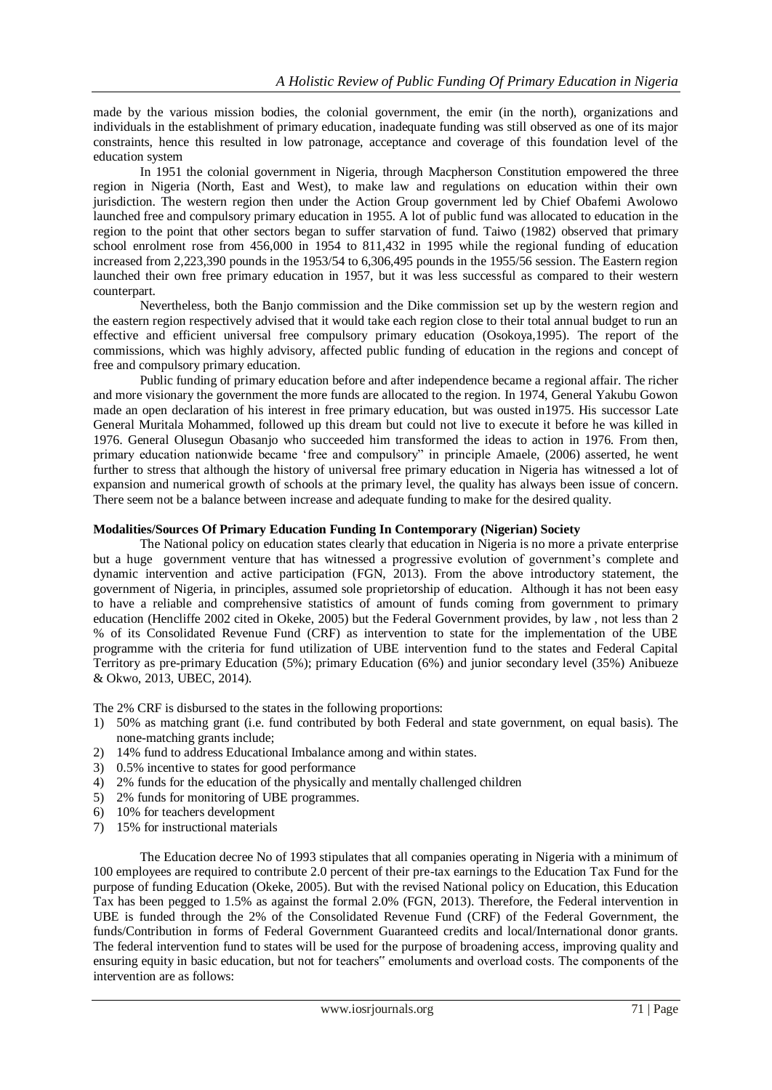made by the various mission bodies, the colonial government, the emir (in the north), organizations and individuals in the establishment of primary education, inadequate funding was still observed as one of its major constraints, hence this resulted in low patronage, acceptance and coverage of this foundation level of the education system

In 1951 the colonial government in Nigeria, through Macpherson Constitution empowered the three region in Nigeria (North, East and West), to make law and regulations on education within their own jurisdiction. The western region then under the Action Group government led by Chief Obafemi Awolowo launched free and compulsory primary education in 1955. A lot of public fund was allocated to education in the region to the point that other sectors began to suffer starvation of fund. Taiwo (1982) observed that primary school enrolment rose from 456,000 in 1954 to 811,432 in 1995 while the regional funding of education increased from 2,223,390 pounds in the 1953/54 to 6,306,495 pounds in the 1955/56 session. The Eastern region launched their own free primary education in 1957, but it was less successful as compared to their western counterpart.

Nevertheless, both the Banjo commission and the Dike commission set up by the western region and the eastern region respectively advised that it would take each region close to their total annual budget to run an effective and efficient universal free compulsory primary education (Osokoya,1995). The report of the commissions, which was highly advisory, affected public funding of education in the regions and concept of free and compulsory primary education.

Public funding of primary education before and after independence became a regional affair. The richer and more visionary the government the more funds are allocated to the region. In 1974, General Yakubu Gowon made an open declaration of his interest in free primary education, but was ousted in1975. His successor Late General Muritala Mohammed, followed up this dream but could not live to execute it before he was killed in 1976. General Olusegun Obasanjo who succeeded him transformed the ideas to action in 1976. From then, primary education nationwide became "free and compulsory" in principle Amaele, (2006) asserted, he went further to stress that although the history of universal free primary education in Nigeria has witnessed a lot of expansion and numerical growth of schools at the primary level, the quality has always been issue of concern. There seem not be a balance between increase and adequate funding to make for the desired quality.

#### **Modalities/Sources Of Primary Education Funding In Contemporary (Nigerian) Society**

The National policy on education states clearly that education in Nigeria is no more a private enterprise but a huge government venture that has witnessed a progressive evolution of government's complete and dynamic intervention and active participation (FGN, 2013). From the above introductory statement, the government of Nigeria, in principles, assumed sole proprietorship of education. Although it has not been easy to have a reliable and comprehensive statistics of amount of funds coming from government to primary education (Hencliffe 2002 cited in Okeke, 2005) but the Federal Government provides, by law , not less than 2 % of its Consolidated Revenue Fund (CRF) as intervention to state for the implementation of the UBE programme with the criteria for fund utilization of UBE intervention fund to the states and Federal Capital Territory as pre-primary Education (5%); primary Education (6%) and junior secondary level (35%) Anibueze & Okwo, 2013, UBEC, 2014).

The 2% CRF is disbursed to the states in the following proportions:

- 1) 50% as matching grant (i.e. fund contributed by both Federal and state government, on equal basis). The none-matching grants include;
- 2) 14% fund to address Educational Imbalance among and within states.
- 3) 0.5% incentive to states for good performance
- 4) 2% funds for the education of the physically and mentally challenged children
- 5) 2% funds for monitoring of UBE programmes.
- 6) 10% for teachers development
- 7) 15% for instructional materials

The Education decree No of 1993 stipulates that all companies operating in Nigeria with a minimum of 100 employees are required to contribute 2.0 percent of their pre-tax earnings to the Education Tax Fund for the purpose of funding Education (Okeke, 2005). But with the revised National policy on Education, this Education Tax has been pegged to 1.5% as against the formal 2.0% (FGN, 2013). Therefore, the Federal intervention in UBE is funded through the 2% of the Consolidated Revenue Fund (CRF) of the Federal Government, the funds/Contribution in forms of Federal Government Guaranteed credits and local/International donor grants. The federal intervention fund to states will be used for the purpose of broadening access, improving quality and ensuring equity in basic education, but not for teachers" emoluments and overload costs. The components of the intervention are as follows: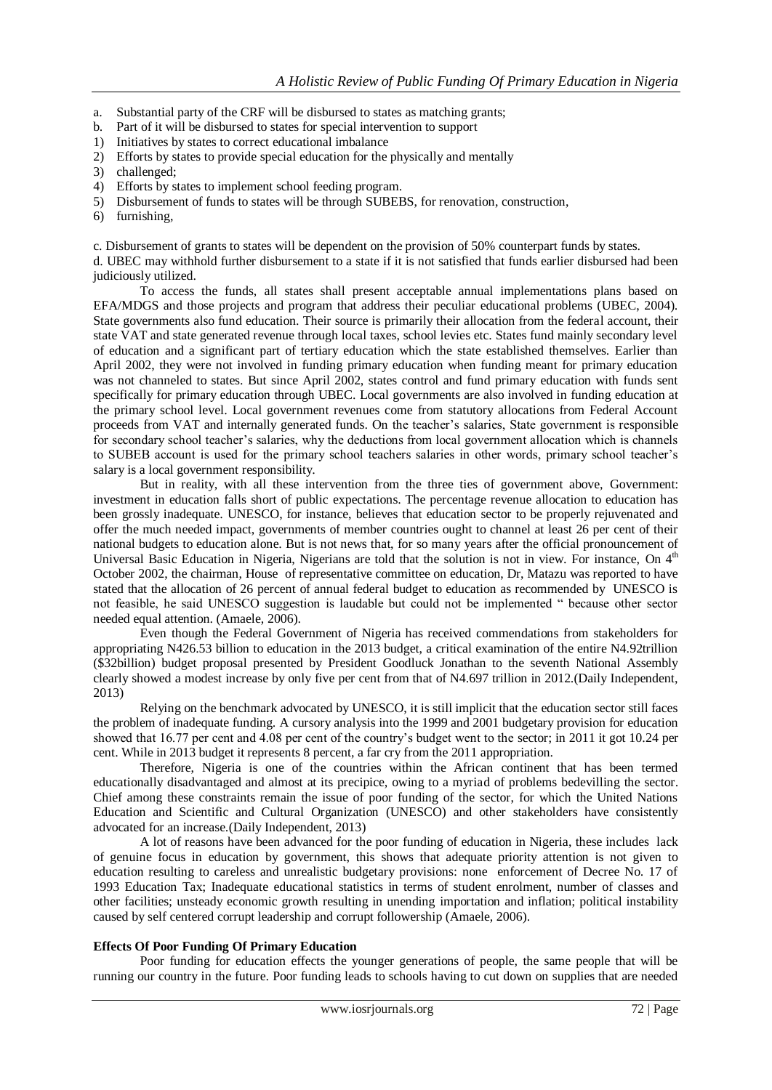- a. Substantial party of the CRF will be disbursed to states as matching grants;
- b. Part of it will be disbursed to states for special intervention to support
- 1) Initiatives by states to correct educational imbalance
- 2) Efforts by states to provide special education for the physically and mentally
- 3) challenged;
- 4) Efforts by states to implement school feeding program.
- 5) Disbursement of funds to states will be through SUBEBS, for renovation, construction,
- 6) furnishing,

c. Disbursement of grants to states will be dependent on the provision of 50% counterpart funds by states.

d. UBEC may withhold further disbursement to a state if it is not satisfied that funds earlier disbursed had been judiciously utilized.

To access the funds, all states shall present acceptable annual implementations plans based on EFA/MDGS and those projects and program that address their peculiar educational problems (UBEC, 2004). State governments also fund education. Their source is primarily their allocation from the federal account, their state VAT and state generated revenue through local taxes, school levies etc. States fund mainly secondary level of education and a significant part of tertiary education which the state established themselves. Earlier than April 2002, they were not involved in funding primary education when funding meant for primary education was not channeled to states. But since April 2002, states control and fund primary education with funds sent specifically for primary education through UBEC. Local governments are also involved in funding education at the primary school level. Local government revenues come from statutory allocations from Federal Account proceeds from VAT and internally generated funds. On the teacher"s salaries, State government is responsible for secondary school teacher"s salaries, why the deductions from local government allocation which is channels to SUBEB account is used for the primary school teachers salaries in other words, primary school teacher"s salary is a local government responsibility.

But in reality, with all these intervention from the three ties of government above, Government: investment in education falls short of public expectations. The percentage revenue allocation to education has been grossly inadequate. UNESCO, for instance, believes that education sector to be properly rejuvenated and offer the much needed impact, governments of member countries ought to channel at least 26 per cent of their national budgets to education alone. But is not news that, for so many years after the official pronouncement of Universal Basic Education in Nigeria, Nigerians are told that the solution is not in view. For instance, On 4<sup>th</sup> October 2002, the chairman, House of representative committee on education, Dr, Matazu was reported to have stated that the allocation of 26 percent of annual federal budget to education as recommended by UNESCO is not feasible, he said UNESCO suggestion is laudable but could not be implemented " because other sector needed equal attention. (Amaele, 2006).

Even though the Federal Government of Nigeria has received commendations from stakeholders for appropriating N426.53 billion to education in the 2013 budget, a critical examination of the entire N4.92trillion (\$32billion) budget proposal presented by President Goodluck Jonathan to the seventh National Assembly clearly showed a modest increase by only five per cent from that of N4.697 trillion in 2012.(Daily Independent, 2013)

Relying on the benchmark advocated by UNESCO, it is still implicit that the education sector still faces the problem of inadequate funding. A cursory analysis into the 1999 and 2001 budgetary provision for education showed that 16.77 per cent and 4.08 per cent of the country"s budget went to the sector; in 2011 it got 10.24 per cent. While in 2013 budget it represents 8 percent, a far cry from the 2011 appropriation.

Therefore, Nigeria is one of the countries within the African continent that has been termed educationally disadvantaged and almost at its precipice, owing to a myriad of problems bedevilling the sector. Chief among these constraints remain the issue of poor funding of the sector, for which the United Nations Education and Scientific and Cultural Organization (UNESCO) and other stakeholders have consistently advocated for an increase.(Daily Independent, 2013)

A lot of reasons have been advanced for the poor funding of education in Nigeria, these includes lack of genuine focus in education by government, this shows that adequate priority attention is not given to education resulting to careless and unrealistic budgetary provisions: none enforcement of Decree No. 17 of 1993 Education Tax; Inadequate educational statistics in terms of student enrolment, number of classes and other facilities; unsteady economic growth resulting in unending importation and inflation; political instability caused by self centered corrupt leadership and corrupt followership (Amaele, 2006).

#### **Effects Of Poor Funding Of Primary Education**

Poor funding for education effects the younger generations of people, the same people that will be running our country in the future. Poor funding leads to schools having to cut down on supplies that are needed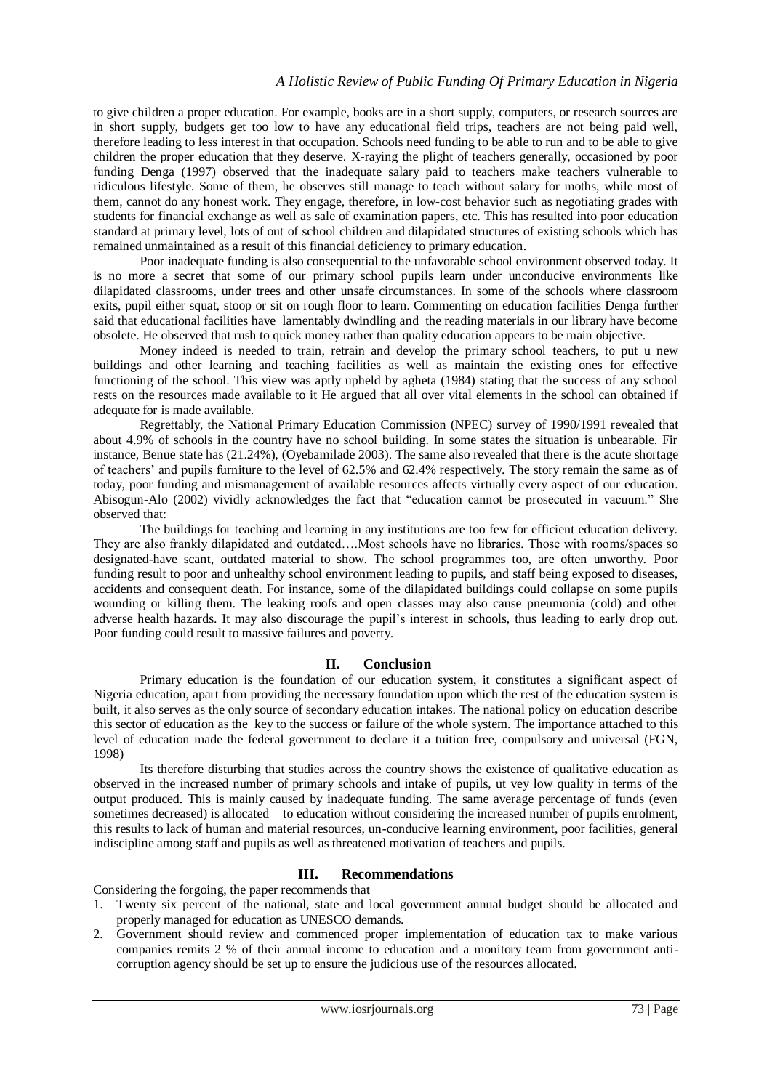to give children a proper education. For example, books are in a short supply, computers, or research sources are in short supply, budgets get too low to have any educational field trips, teachers are not being paid well, therefore leading to less interest in that occupation. Schools need funding to be able to run and to be able to give children the proper education that they deserve. X-raying the plight of teachers generally, occasioned by poor funding Denga (1997) observed that the inadequate salary paid to teachers make teachers vulnerable to ridiculous lifestyle. Some of them, he observes still manage to teach without salary for moths, while most of them, cannot do any honest work. They engage, therefore, in low-cost behavior such as negotiating grades with students for financial exchange as well as sale of examination papers, etc. This has resulted into poor education standard at primary level, lots of out of school children and dilapidated structures of existing schools which has remained unmaintained as a result of this financial deficiency to primary education.

Poor inadequate funding is also consequential to the unfavorable school environment observed today. It is no more a secret that some of our primary school pupils learn under unconducive environments like dilapidated classrooms, under trees and other unsafe circumstances. In some of the schools where classroom exits, pupil either squat, stoop or sit on rough floor to learn. Commenting on education facilities Denga further said that educational facilities have lamentably dwindling and the reading materials in our library have become obsolete. He observed that rush to quick money rather than quality education appears to be main objective.

Money indeed is needed to train, retrain and develop the primary school teachers, to put u new buildings and other learning and teaching facilities as well as maintain the existing ones for effective functioning of the school. This view was aptly upheld by agheta (1984) stating that the success of any school rests on the resources made available to it He argued that all over vital elements in the school can obtained if adequate for is made available.

Regrettably, the National Primary Education Commission (NPEC) survey of 1990/1991 revealed that about 4.9% of schools in the country have no school building. In some states the situation is unbearable. Fir instance, Benue state has (21.24%), (Oyebamilade 2003). The same also revealed that there is the acute shortage of teachers" and pupils furniture to the level of 62.5% and 62.4% respectively. The story remain the same as of today, poor funding and mismanagement of available resources affects virtually every aspect of our education. Abisogun-Alo (2002) vividly acknowledges the fact that "education cannot be prosecuted in vacuum." She observed that:

The buildings for teaching and learning in any institutions are too few for efficient education delivery. They are also frankly dilapidated and outdated….Most schools have no libraries. Those with rooms/spaces so designated-have scant, outdated material to show. The school programmes too, are often unworthy. Poor funding result to poor and unhealthy school environment leading to pupils, and staff being exposed to diseases, accidents and consequent death. For instance, some of the dilapidated buildings could collapse on some pupils wounding or killing them. The leaking roofs and open classes may also cause pneumonia (cold) and other adverse health hazards. It may also discourage the pupil's interest in schools, thus leading to early drop out. Poor funding could result to massive failures and poverty.

# **II. Conclusion**

Primary education is the foundation of our education system, it constitutes a significant aspect of Nigeria education, apart from providing the necessary foundation upon which the rest of the education system is built, it also serves as the only source of secondary education intakes. The national policy on education describe this sector of education as the key to the success or failure of the whole system. The importance attached to this level of education made the federal government to declare it a tuition free, compulsory and universal (FGN, 1998)

Its therefore disturbing that studies across the country shows the existence of qualitative education as observed in the increased number of primary schools and intake of pupils, ut vey low quality in terms of the output produced. This is mainly caused by inadequate funding. The same average percentage of funds (even sometimes decreased) is allocated to education without considering the increased number of pupils enrolment, this results to lack of human and material resources, un-conducive learning environment, poor facilities, general indiscipline among staff and pupils as well as threatened motivation of teachers and pupils.

# **III. Recommendations**

Considering the forgoing, the paper recommends that

- 1. Twenty six percent of the national, state and local government annual budget should be allocated and properly managed for education as UNESCO demands.
- 2. Government should review and commenced proper implementation of education tax to make various companies remits 2 % of their annual income to education and a monitory team from government anticorruption agency should be set up to ensure the judicious use of the resources allocated.